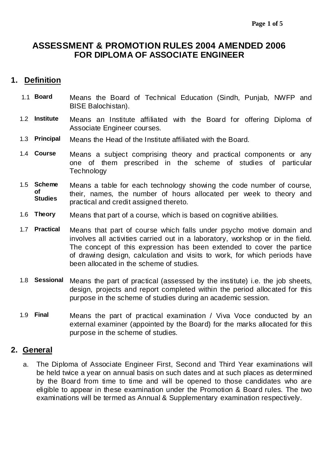# **ASSESSMENT & PROMOTION RULES 2004 AMENDED 2006 FOR DIPLOMA OF ASSOCIATE ENGINEER**

# **1. Definition**

- 1.1 **Board** Means the Board of Technical Education (Sindh, Punjab, NWFP and BISE Balochistan).
- 1.2 **Institute** Means an Institute affiliated with the Board for offering Diploma of Associate Engineer courses.
- 1.3 **Principal** Means the Head of the Institute affiliated with the Board.
- 1.4 **Course** Means a subject comprising theory and practical components or any one of them prescribed in the scheme of studies of particular **Technology**
- 1.5 **Scheme of Studies** Means a table for each technology showing the code number of course, their, names, the number of hours allocated per week to theory and practical and credit assigned thereto.
- 1.6 **Theory** Means that part of a course, which is based on cognitive abilities.
- 1.7 **Practical** Means that part of course which falls under psycho motive domain and involves all activities carried out in a laboratory, workshop or in the field. The concept of this expression has been extended to cover the partice of drawing design, calculation and visits to work, for which periods have been allocated in the scheme of studies.
- 1.8 **Sessional** Means the part of practical (assessed by the institute) i.e. the job sheets, design, projects and report completed within the period allocated for this purpose in the scheme of studies during an academic session.
- 1.9 **Final** Means the part of practical examination / Viva Voce conducted by an external examiner (appointed by the Board) for the marks allocated for this purpose in the scheme of studies.

# **2. General**

a. The Diploma of Associate Engineer First, Second and Third Year examinations will be held twice a year on annual basis on such dates and at such places as determined by the Board from time to time and will be opened to those candidates who are eligible to appear in these examination under the Promotion & Board rules. The two examinations will be termed as Annual & Supplementary examination respectively.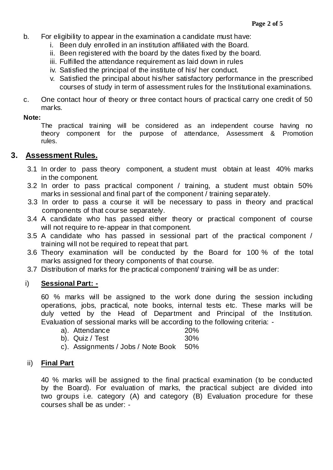- b. For eligibility to appear in the examination a candidate must have:
	- i. Been duly enrolled in an institution affiliated with the Board.
	- ii. Been registered with the board by the dates fixed by the board.
	- iii. Fulfilled the attendance requirement as laid down in rules
	- iv. Satisfied the principal of the institute of his/ her conduct.
	- v. Satisfied the principal about his/her satisfactory performance in the prescribed courses of study in term of assessment rules for the Institutional examinations.
- c. One contact hour of theory or three contact hours of practical carry one credit of 50 marks.

#### **Note:**

The practical training will be considered as an independent course having no theory component for the purpose of attendance, Assessment & Promotion rules.

# **3. Assessment Rules.**

- 3.1 In order to pass theory component, a student must obtain at least 40% marks in the component.
- 3.2 In order to pass practical component / training, a student must obtain 50% marks in sessional and final part of the component / training separately.
- 3.3 In order to pass a course it will be necessary to pass in theory and practical components of that course separately.
- 3.4 A candidate who has passed either theory or practical component of course will not require to re-appear in that component.
- 3.5 A candidate who has passed in sessional part of the practical component / training will not be required to repeat that part.
- 3.6 Theory examination will be conducted by the Board for 100 % of the total marks assigned for theory components of that course.
- 3.7 Distribution of marks for the practical component/ training will be as under:

# i) **Sessional Part: -**

60 % marks will be assigned to the work done during the session including operations, jobs, practical, note books, internal tests etc. These marks will be duly vetted by the Head of Department and Principal of the Institution. Evaluation of sessional marks will be according to the following criteria: -

| a). Attendance                         | <b>20%</b> |
|----------------------------------------|------------|
| b). Quiz / Test                        | 30%        |
| c). Assignments / Jobs / Note Book 50% |            |

### ii) **Final Part**

40 % marks will be assigned to the final practical examination (to be conducted by the Board). For evaluation of marks, the practical subject are divided into two groups i.e. category (A) and category (B) Evaluation procedure for these courses shall be as under: -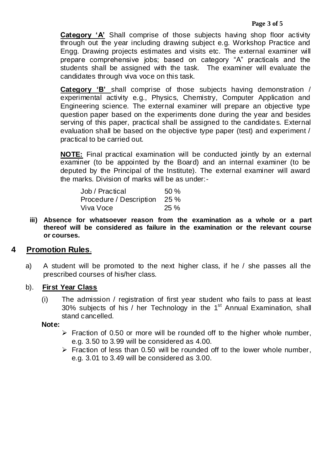**Category 'A'** Shall comprise of those subjects having shop floor activity through out the year including drawing subject e.g. Workshop Practice and Engg. Drawing projects estimates and visits etc. The external examiner will prepare comprehensive jobs; based on category "A" practicals and the students shall be assigned with the task. The examiner will evaluate the candidates through viva voce on this task.

**Category 'B'** shall comprise of those subjects having demonstration / experimental activity e.g., Physics, Chemistry, Computer Application and Engineering science. The external examiner will prepare an objective type question paper based on the experiments done during the year and besides serving of this paper, practical shall be assigned to the candidates. External evaluation shall be based on the objective type paper (test) and experiment / practical to be carried out.

**NOTE:** Final practical examination will be conducted jointly by an external examiner (to be appointed by the Board) and an internal examiner (to be deputed by the Principal of the Institute). The external examiner will award the marks. Division of marks will be as under:-

| Job / Practical         | 50%  |
|-------------------------|------|
| Procedure / Description | 25 % |
| Viva Voce               | 25%  |

**iii) Absence for whatsoever reason from the examination as a whole or a part thereof will be considered as failure in the examination or the relevant course or courses.**

# **4 Promotion Rules**.

a) A student will be promoted to the next higher class, if he / she passes all the prescribed courses of his/her class.

### b). **First Year Class**

(i) The admission / registration of first year student who fails to pass at least 30% subjects of his / her Technology in the  $1<sup>st</sup>$  Annual Examination, shall stand cancelled.

#### **Note:**

- $\triangleright$  Fraction of 0.50 or more will be rounded off to the higher whole number, e.g. 3.50 to 3.99 will be considered as 4.00.
- $\triangleright$  Fraction of less than 0.50 will be rounded off to the lower whole number, e.g. 3.01 to 3.49 will be considered as 3.00.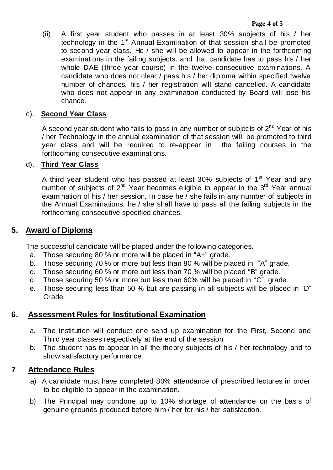(ii) A first year student who passes in at least 30% subjects of his / her technology in the 1<sup>st</sup> Annual Examination of that session shall be promoted to second year class. He / she will be allowed to appear in the forthcoming examinations in the failing subjects. and that candidate has to pass his / her whole DAE (three year course) in the twelve consecutive examinations. A candidate who does not clear / pass his / her diploma within specified twelve number of chances, his / her registration will stand cancelled. A candidate who does not appear in any examination conducted by Board will lose his chance.

### c). **Second Year Class**

A second year student who fails to pass in any number of subjects of  $2^{nd}$  Year of his / her Technology in the annual examination of that session will be promoted to third year class and will be required to re-appear in the failing courses in the forthcoming consecutive examinations.

### d). **Third Year Class**

A third year student who has passed at least  $30\%$  subjects of  $1<sup>st</sup>$  Year and any number of subjects of  $2^{nd}$  Year becomes eligible to appear in the  $3^{rd}$  Year annual examination of his / her session. In case he / she fails in any number of subjects in the Annual Examinations, he / she shall have to pass all the failing subjects in the forthcoming consecutive specified chances.

# **5. Award of Diploma**

The successful candidate will be placed under the following categories.

- a. Those securing 80 % or more will be placed in "A+" grade.
- b. Those securing 70 % or more but less than 80 % will be placed in "A" grade.
- c. Those securing 60 % or more but less than 70 % will be placed "B" grade.
- d. Those securing 50 % or more but less than 60% will be placed in "C" grade.
- e. Those securing less than 50 % but are passing in all subjects will be placed in "D" Grade.

# **6. Assessment Rules for Institutional Examination**

- a. The institution will conduct one send up examination for the First, Second and Third year classes respectively at the end of the session
- b. The student has to appear in all the theory subjects of his / her technology and to show satisfactory performance.

# **7 Attendance Rules**

- a) A candidate must have completed 80% attendance of prescribed lectures in order to be eligible to appear in the examination.
- b) The Principal may condone up to 10% shortage of attendance on the basis of genuine grounds produced before him / her for his / her satisfaction.